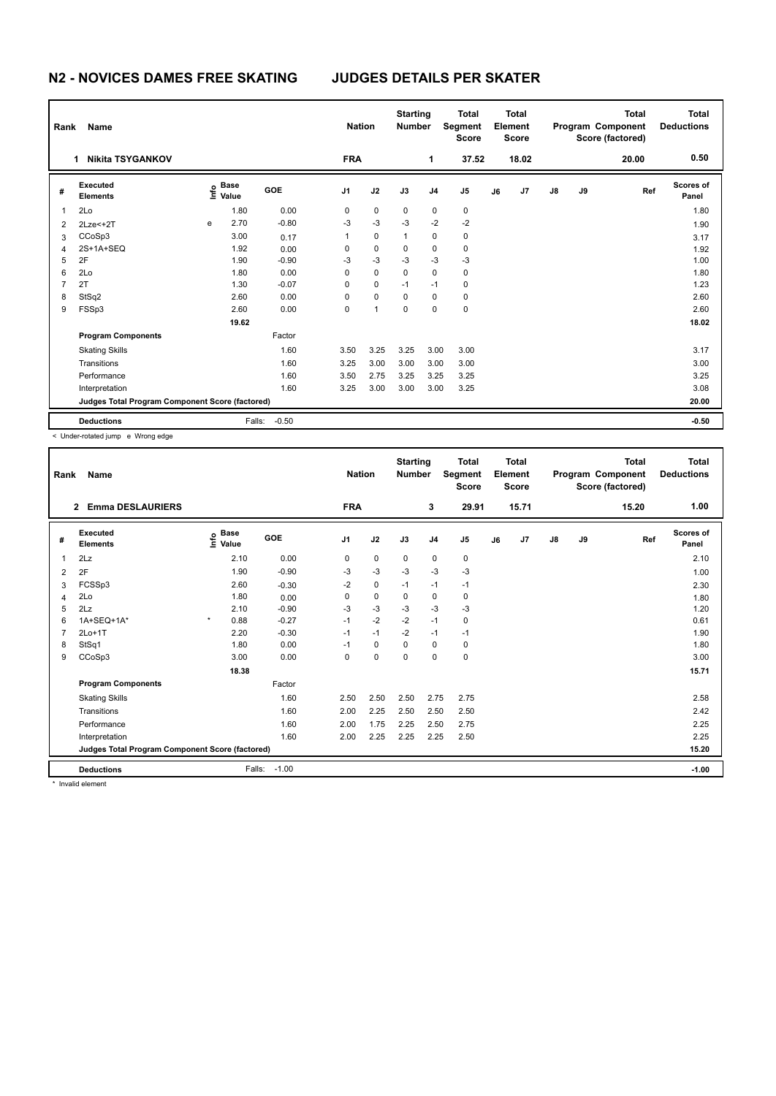## **N2 - NOVICES DAMES FREE SKATING JUDGES DETAILS PER SKATER**

| Rank<br>Name                                             |                               |   |                           |         |            | <b>Nation</b> |              | <b>Starting</b><br><b>Number</b> | <b>Total</b><br>Segment<br><b>Score</b> | <b>Total</b><br>Element<br><b>Score</b> |       |               |    | <b>Total</b><br>Program Component<br>Score (factored) | <b>Total</b><br><b>Deductions</b> |
|----------------------------------------------------------|-------------------------------|---|---------------------------|---------|------------|---------------|--------------|----------------------------------|-----------------------------------------|-----------------------------------------|-------|---------------|----|-------------------------------------------------------|-----------------------------------|
|                                                          | <b>Nikita TSYGANKOV</b><br>1. |   |                           |         | <b>FRA</b> |               |              | 1                                | 37.52                                   |                                         | 18.02 |               |    | 20.00                                                 | 0.50                              |
| #                                                        | Executed<br><b>Elements</b>   |   | Base<br>e Base<br>⊆ Value | GOE     | J1         | J2            | J3           | J <sub>4</sub>                   | J <sub>5</sub>                          | J6                                      | J7    | $\mathsf{J}8$ | J9 | Ref                                                   | <b>Scores of</b><br>Panel         |
| 1                                                        | 2Lo                           |   | 1.80                      | 0.00    | 0          | 0             | 0            | 0                                | $\mathbf 0$                             |                                         |       |               |    |                                                       | 1.80                              |
| 2                                                        | $2Lze<+2T$                    | e | 2.70                      | $-0.80$ | $-3$       | $-3$          | $-3$         | $-2$                             | $-2$                                    |                                         |       |               |    |                                                       | 1.90                              |
| 3                                                        | CCoSp3                        |   | 3.00                      | 0.17    | 1          | 0             | $\mathbf{1}$ | 0                                | 0                                       |                                         |       |               |    |                                                       | 3.17                              |
| 4                                                        | 2S+1A+SEQ                     |   | 1.92                      | 0.00    | 0          | $\mathbf 0$   | 0            | 0                                | 0                                       |                                         |       |               |    |                                                       | 1.92                              |
| 5                                                        | 2F                            |   | 1.90                      | $-0.90$ | $-3$       | $-3$          | $-3$         | $-3$                             | $-3$                                    |                                         |       |               |    |                                                       | 1.00                              |
| 6                                                        | 2Lo                           |   | 1.80                      | 0.00    | $\Omega$   | $\mathbf 0$   | $\Omega$     | 0                                | $\mathbf 0$                             |                                         |       |               |    |                                                       | 1.80                              |
| 7                                                        | 2T                            |   | 1.30                      | $-0.07$ | 0          | 0             | $-1$         | $-1$                             | $\pmb{0}$                               |                                         |       |               |    |                                                       | 1.23                              |
| 8                                                        | StSq2                         |   | 2.60                      | 0.00    | 0          | 0             | 0            | 0                                | 0                                       |                                         |       |               |    |                                                       | 2.60                              |
| 9                                                        | FSSp3                         |   | 2.60                      | 0.00    | 0          | 1             | 0            | 0                                | $\mathbf 0$                             |                                         |       |               |    |                                                       | 2.60                              |
|                                                          |                               |   | 19.62                     |         |            |               |              |                                  |                                         |                                         |       |               |    |                                                       | 18.02                             |
|                                                          | <b>Program Components</b>     |   |                           | Factor  |            |               |              |                                  |                                         |                                         |       |               |    |                                                       |                                   |
|                                                          | <b>Skating Skills</b>         |   |                           | 1.60    | 3.50       | 3.25          | 3.25         | 3.00                             | 3.00                                    |                                         |       |               |    |                                                       | 3.17                              |
|                                                          | Transitions                   |   |                           | 1.60    | 3.25       | 3.00          | 3.00         | 3.00                             | 3.00                                    |                                         |       |               |    |                                                       | 3.00                              |
|                                                          | Performance                   |   |                           | 1.60    | 3.50       | 2.75          | 3.25         | 3.25                             | 3.25                                    |                                         |       |               |    |                                                       | 3.25                              |
|                                                          | Interpretation                |   |                           | 1.60    | 3.25       | 3.00          | 3.00         | 3.00                             | 3.25                                    |                                         |       |               |    |                                                       | 3.08                              |
| Judges Total Program Component Score (factored)<br>20.00 |                               |   |                           |         |            |               |              |                                  |                                         |                                         |       |               |    |                                                       |                                   |
|                                                          | <b>Deductions</b>             |   | Falls:                    | $-0.50$ |            |               |              |                                  |                                         |                                         |       |               |    |                                                       | $-0.50$                           |

< Under-rotated jump e Wrong edge

| Rank | Name                                            |                              |         | <b>Nation</b>  |             | <b>Starting</b><br><b>Number</b> |                | <b>Total</b><br>Segment<br><b>Score</b> |    | Total<br>Element<br><b>Score</b> |               |       | <b>Total</b><br>Program Component<br>Score (factored) | <b>Total</b><br><b>Deductions</b> |
|------|-------------------------------------------------|------------------------------|---------|----------------|-------------|----------------------------------|----------------|-----------------------------------------|----|----------------------------------|---------------|-------|-------------------------------------------------------|-----------------------------------|
|      | <b>Emma DESLAURIERS</b><br>$\overline{2}$       |                              |         | <b>FRA</b>     |             |                                  | 3              | 29.91                                   |    | 15.71                            |               |       | 15.20                                                 | 1.00                              |
| #    | Executed<br><b>Elements</b>                     | <b>Base</b><br>١nf٥<br>Value | GOE     | J <sub>1</sub> | J2          | J3                               | J <sub>4</sub> | J <sub>5</sub>                          | J6 | J7                               | $\mathsf{J}8$ | J9    | Ref                                                   | <b>Scores of</b><br>Panel         |
| 1    | 2Lz                                             | 2.10                         | 0.00    | 0              | 0           | 0                                | 0              | 0                                       |    |                                  |               |       |                                                       | 2.10                              |
| 2    | 2F                                              | 1.90                         | $-0.90$ | $-3$           | $-3$        | $-3$                             | $-3$           | $-3$                                    |    |                                  |               |       |                                                       | 1.00                              |
| 3    | FCSSp3                                          | 2.60                         | $-0.30$ | $-2$           | $\mathbf 0$ | $-1$                             | $-1$           | $-1$                                    |    |                                  |               |       |                                                       | 2.30                              |
| 4    | 2Lo                                             | 1.80                         | 0.00    | 0              | $\mathbf 0$ | 0                                | 0              | 0                                       |    |                                  |               |       |                                                       | 1.80                              |
| 5    | 2Lz                                             | 2.10                         | $-0.90$ | $-3$           | -3          | $-3$                             | $-3$           | $-3$                                    |    |                                  |               |       |                                                       | 1.20                              |
| 6    | $1A+SEQ+1A*$                                    | $\star$<br>0.88              | $-0.27$ | $-1$           | $-2$        | $-2$                             | $-1$           | 0                                       |    |                                  |               |       |                                                       | 0.61                              |
| 7    | $2Lo+1T$                                        | 2.20                         | $-0.30$ | $-1$           | $-1$        | $-2$                             | $-1$           | $-1$                                    |    |                                  |               |       |                                                       | 1.90                              |
| 8    | StSq1                                           | 1.80                         | 0.00    | $-1$           | $\mathbf 0$ | $\Omega$                         | 0              | 0                                       |    |                                  |               |       |                                                       | 1.80                              |
| 9    | CCoSp3                                          | 3.00                         | 0.00    | $\Omega$       | $\mathbf 0$ | $\Omega$                         | $\mathbf 0$    | 0                                       |    |                                  |               |       |                                                       | 3.00                              |
|      |                                                 | 18.38                        |         |                |             |                                  |                |                                         |    |                                  |               |       |                                                       | 15.71                             |
|      | <b>Program Components</b>                       |                              | Factor  |                |             |                                  |                |                                         |    |                                  |               |       |                                                       |                                   |
|      | <b>Skating Skills</b>                           |                              | 1.60    | 2.50           | 2.50        | 2.50                             | 2.75           | 2.75                                    |    |                                  |               |       |                                                       | 2.58                              |
|      | Transitions                                     |                              | 1.60    | 2.00           | 2.25        | 2.50                             | 2.50           | 2.50                                    |    |                                  |               |       |                                                       | 2.42                              |
|      | Performance                                     |                              | 1.60    | 2.00           | 1.75        | 2.25                             | 2.50           | 2.75                                    |    |                                  |               |       |                                                       | 2.25                              |
|      | Interpretation                                  |                              | 1.60    | 2.00           | 2.25        | 2.25                             | 2.25           | 2.50                                    |    |                                  |               |       |                                                       | 2.25                              |
|      | Judges Total Program Component Score (factored) |                              |         |                |             |                                  |                |                                         |    |                                  |               | 15.20 |                                                       |                                   |
|      | <b>Deductions</b>                               | Falls:                       | $-1.00$ |                |             |                                  |                |                                         |    |                                  |               |       |                                                       | $-1.00$                           |

\* Invalid element